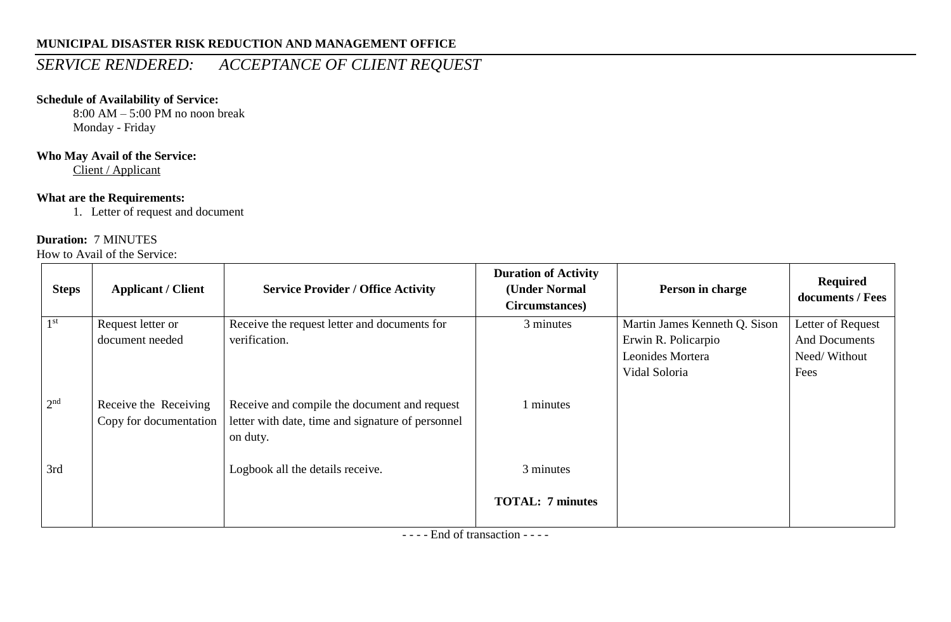## **MUNICIPAL DISASTER RISK REDUCTION AND MANAGEMENT OFFICE**

## *SERVICE RENDERED: ACCEPTANCE OF CLIENT REQUEST*

## **Schedule of Availability of Service:**

8:00 AM – 5:00 PM no noon break Monday - Friday

## **Who May Avail of the Service:**

Client / Applicant

## **What are the Requirements:**

1. Letter of request and document

#### **Duration:** 7 MINUTES

How to Avail of the Service:

| <b>Steps</b>    | <b>Applicant / Client</b>                       | <b>Service Provider / Office Activity</b>                                                                     | <b>Duration of Activity</b><br>(Under Normal<br>Circumstances) | Person in charge              | <b>Required</b><br>documents / Fees |
|-----------------|-------------------------------------------------|---------------------------------------------------------------------------------------------------------------|----------------------------------------------------------------|-------------------------------|-------------------------------------|
| 1 <sup>st</sup> | Request letter or                               | Receive the request letter and documents for                                                                  | 3 minutes                                                      | Martin James Kenneth Q. Sison | Letter of Request                   |
|                 | document needed                                 | verification.                                                                                                 |                                                                | Erwin R. Policarpio           | <b>And Documents</b>                |
|                 |                                                 |                                                                                                               |                                                                | Leonides Mortera              | Need/Without                        |
|                 |                                                 |                                                                                                               |                                                                | Vidal Soloria                 | Fees                                |
| 2 <sup>nd</sup> | Receive the Receiving<br>Copy for documentation | Receive and compile the document and request<br>letter with date, time and signature of personnel<br>on duty. | 1 minutes                                                      |                               |                                     |
| 3rd             |                                                 | Logbook all the details receive.                                                                              | 3 minutes                                                      |                               |                                     |
|                 |                                                 |                                                                                                               | <b>TOTAL: 7 minutes</b>                                        |                               |                                     |

- - - - End of transaction - - - -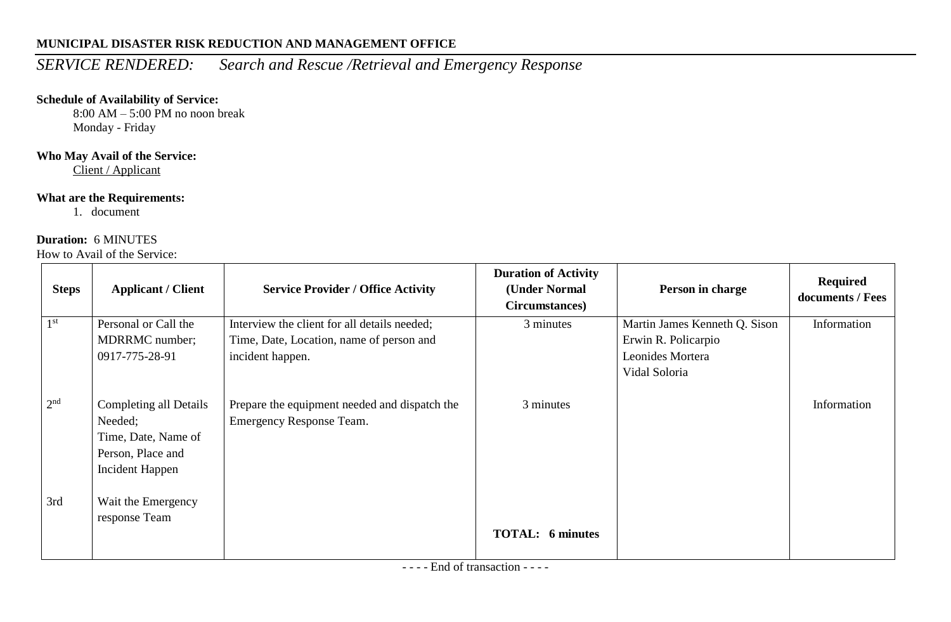## **MUNICIPAL DISASTER RISK REDUCTION AND MANAGEMENT OFFICE**

# *SERVICE RENDERED: Search and Rescue /Retrieval and Emergency Response*

## **Schedule of Availability of Service:**

8:00 AM – 5:00 PM no noon break Monday - Friday

## **Who May Avail of the Service:**

Client / Applicant

#### **What are the Requirements:**

1. document

## **Duration:** 6 MINUTES

How to Avail of the Service:

| <b>Steps</b>    | <b>Applicant / Client</b>                                                                               | <b>Service Provider / Office Activity</b>                                                | <b>Duration of Activity</b><br>(Under Normal<br>Circumstances) | Person in charge                                     | <b>Required</b><br>documents / Fees |
|-----------------|---------------------------------------------------------------------------------------------------------|------------------------------------------------------------------------------------------|----------------------------------------------------------------|------------------------------------------------------|-------------------------------------|
| 1 <sup>st</sup> | Personal or Call the<br>MDRRMC number;                                                                  | Interview the client for all details needed;<br>Time, Date, Location, name of person and | 3 minutes                                                      | Martin James Kenneth Q. Sison<br>Erwin R. Policarpio | Information                         |
|                 | 0917-775-28-91                                                                                          | incident happen.                                                                         |                                                                | Leonides Mortera<br>Vidal Soloria                    |                                     |
| 2 <sup>nd</sup> | <b>Completing all Details</b><br>Needed;<br>Time, Date, Name of<br>Person, Place and<br>Incident Happen | Prepare the equipment needed and dispatch the<br>Emergency Response Team.                | 3 minutes                                                      |                                                      | Information                         |
| 3rd             | Wait the Emergency<br>response Team                                                                     |                                                                                          | <b>TOTAL:</b> 6 minutes                                        |                                                      |                                     |